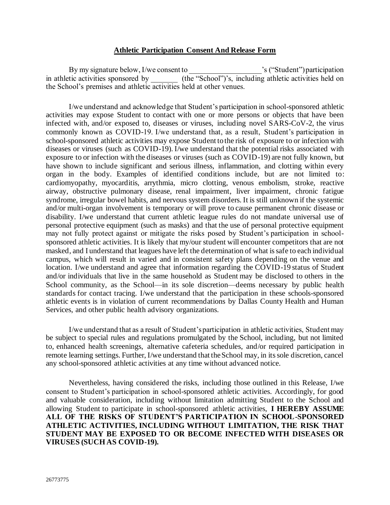## **Athletic Participation Consent And Release Form**

By my signature below, I/we consent to \_\_\_\_\_\_\_\_\_\_\_\_\_\_\_\_\_\_\_'s ("Student") participation  $(the "School"')'s, including athletic activities held on$ the School's premises and athletic activities held at other venues.

I/we understand and acknowledge that Student's participation in school-sponsored athletic activities may expose Student to contact with one or more persons or objects that have been infected with, and/or exposed to, diseases or viruses, including novel SARS-CoV-2, the virus commonly known as COVID-19. I/we understand that, as a result, Student's participation in school-sponsored athletic activities may expose Student to the risk of exposure to or infection with diseases or viruses (such as COVID-19). I/we understand that the potential risks associated with exposure to or infection with the diseases or viruses (such as COVID-19) are not fully known, but have shown to include significant and serious illness, inflammation, and clotting within every organ in the body. Examples of identified conditions include, but are not limited to: cardiomyopathy, myocarditis, arrythmia, micro clotting, venous embolism, stroke, reactive airway, obstructive pulmonary disease, renal impairment, liver impairment, chronic fatigue syndrome, irregular bowel habits, and nervous system disorders. It is still unknown if the systemic and/or multi-organ involvement is temporary or will prove to cause permanent chronic disease or disability. I/we understand that current athletic league rules do not mandate universal use of personal protective equipment (such as masks) and that the use of personal protective equipment may not fully protect against or mitigate the risks posed by Student's participation in schoolsponsored athletic activities. It is likely that my/our student will encounter competitors that are not masked, and I understand that leagues have left the determination of what is safe to each individual campus, which will result in varied and in consistent safety plans depending on the venue and location. I/we understand and agree that information regarding the COVID-19 status of Student and/or individuals that live in the same household as Student may be disclosed to others in the School community, as the School—in its sole discretion—deems necessary by public health standards for contact tracing. I/we understand that the participation in these schools-sponsored athletic events is in violation of current recommendations by Dallas County Health and Human Services, and other public health advisory organizations.

I/we understand that as a result of Student's participation in athletic activities, Student may be subject to special rules and regulations promulgated by the School, including, but not limited to, enhanced health screenings, alternative cafeteria schedules, and/or required participation in remote learning settings. Further, I/we understand that the School may, in its sole discretion, cancel any school-sponsored athletic activities at any time without advanced notice.

Nevertheless, having considered the risks, including those outlined in this Release, I/we consent to Student's participation in school-sponsored athletic activities. Accordingly, for good and valuable consideration, including without limitation admitting Student to the School and allowing Student to participate in school-sponsored athletic activities, **I HEREBY ASSUME ALL OF THE RISKS OF STUDENT'S PARTICIPATION IN SCHOOL-SPONSORED ATHLETIC ACTIVITIES, INCLUDING WITHOUT LIMITATION, THE RISK THAT STUDENT MAY BE EXPOSED TO OR BECOME INFECTED WITH DISEASES OR VIRUSES (SUCH AS COVID-19).**